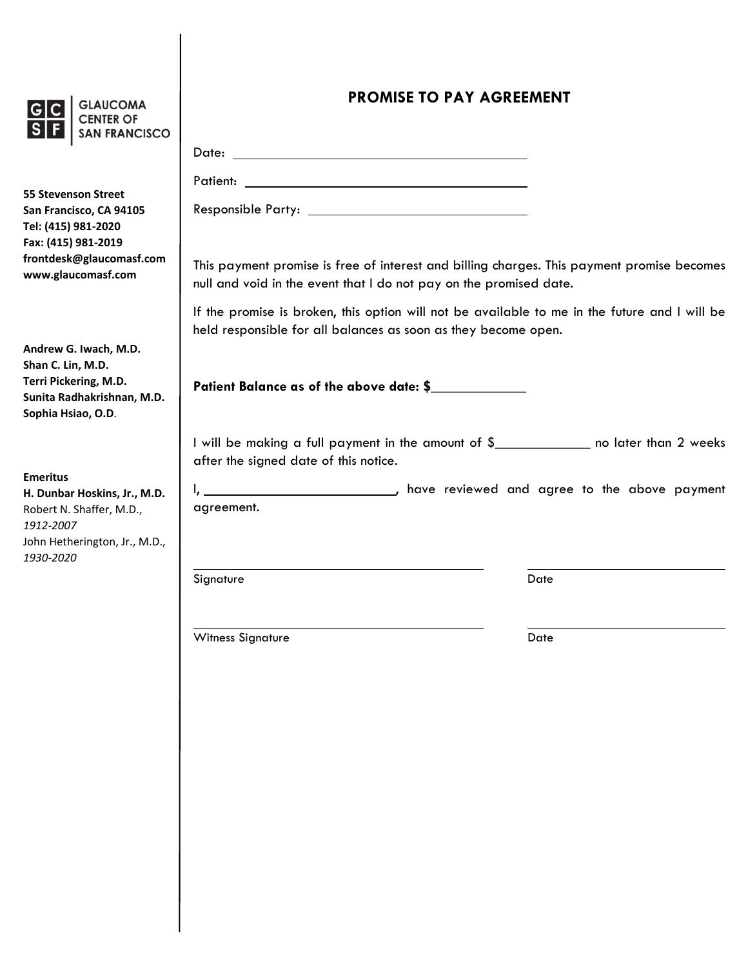

**GLAUCOMA CENTER OF** SAN FRANCISCO

**55 Stevenson Street San Francisco, CA 94105 Tel: (415) 981‐2020 Fax: (415) 981‐2019 frontdesk@glaucomasf.com www.glaucomasf.com**

**Andrew G. Iwach, M.D. Shan C. Lin, M.D. Terri Pickering, M.D. Sunita Radhakrishnan, M.D. Sophia Hsiao, O.D**.

**Emeritus H. Dunbar Hoskins, Jr., M.D.** Robert N. Shaffer, M.D., *1912‐2007* John Hetherington, Jr., M.D., *1930‐2020*

## **PROMISE TO PAY AGREEMENT**

| This payment promise is free of interest and billing charges. This payment promise becomes<br>null and void in the event that I do not pay on the promised date. |
|------------------------------------------------------------------------------------------------------------------------------------------------------------------|
| If the promise is broken, this option will not be available to me in the future and I will be<br>held responsible for all balances as soon as they become open.  |
| Patient Balance as of the above date: \$                                                                                                                         |
| I will be making a full payment in the amount of \$<br>after the signed date of this notice.                                                                     |
| agreement.                                                                                                                                                       |
| Signature<br>Date                                                                                                                                                |

Witness Signature Date